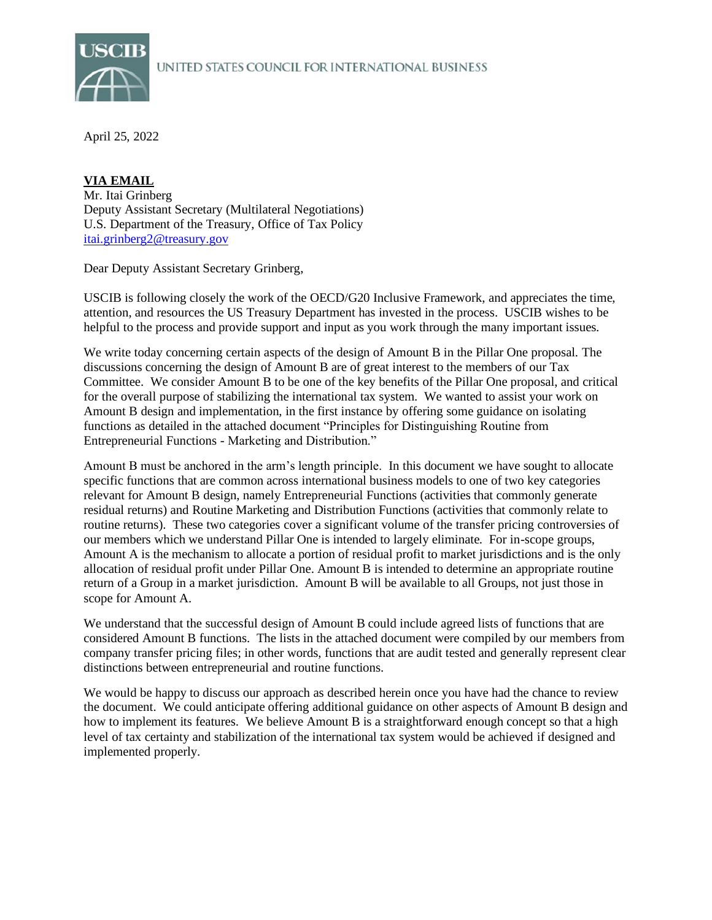

April 25, 2022

[itai.grinberg2@treasury.gov](mailto:itai.grinberg2@treasury.gov) **VIA EMAIL** Mr. Itai Grinberg Deputy Assistant Secretary (Multilateral Negotiations) U.S. Department of the Treasury, Office of Tax Policy

Dear Deputy Assistant Secretary Grinberg,

USCIB is following closely the work of the OECD/G20 Inclusive Framework, and appreciates the time, attention, and resources the US Treasury Department has invested in the process. USCIB wishes to be helpful to the process and provide support and input as you work through the many important issues.

We write today concerning certain aspects of the design of Amount B in the Pillar One proposal. The discussions concerning the design of Amount B are of great interest to the members of our Tax Committee. We consider Amount B to be one of the key benefits of the Pillar One proposal, and critical for the overall purpose of stabilizing the international tax system. We wanted to assist your work on Amount B design and implementation, in the first instance by offering some guidance on isolating functions as detailed in the attached document "Principles for Distinguishing Routine from Entrepreneurial Functions - Marketing and Distribution."

Amount B must be anchored in the arm's length principle. In this document we have sought to allocate specific functions that are common across international business models to one of two key categories relevant for Amount B design, namely Entrepreneurial Functions (activities that commonly generate residual returns) and Routine Marketing and Distribution Functions (activities that commonly relate to routine returns). These two categories cover a significant volume of the transfer pricing controversies of our members which we understand Pillar One is intended to largely eliminate. For in-scope groups, Amount A is the mechanism to allocate a portion of residual profit to market jurisdictions and is the only allocation of residual profit under Pillar One. Amount B is intended to determine an appropriate routine return of a Group in a market jurisdiction. Amount B will be available to all Groups, not just those in scope for Amount A.

We understand that the successful design of Amount B could include agreed lists of functions that are considered Amount B functions. The lists in the attached document were compiled by our members from company transfer pricing files; in other words, functions that are audit tested and generally represent clear distinctions between entrepreneurial and routine functions.

We would be happy to discuss our approach as described herein once you have had the chance to review the document. We could anticipate offering additional guidance on other aspects of Amount B design and how to implement its features. We believe Amount B is a straightforward enough concept so that a high level of tax certainty and stabilization of the international tax system would be achieved if designed and implemented properly.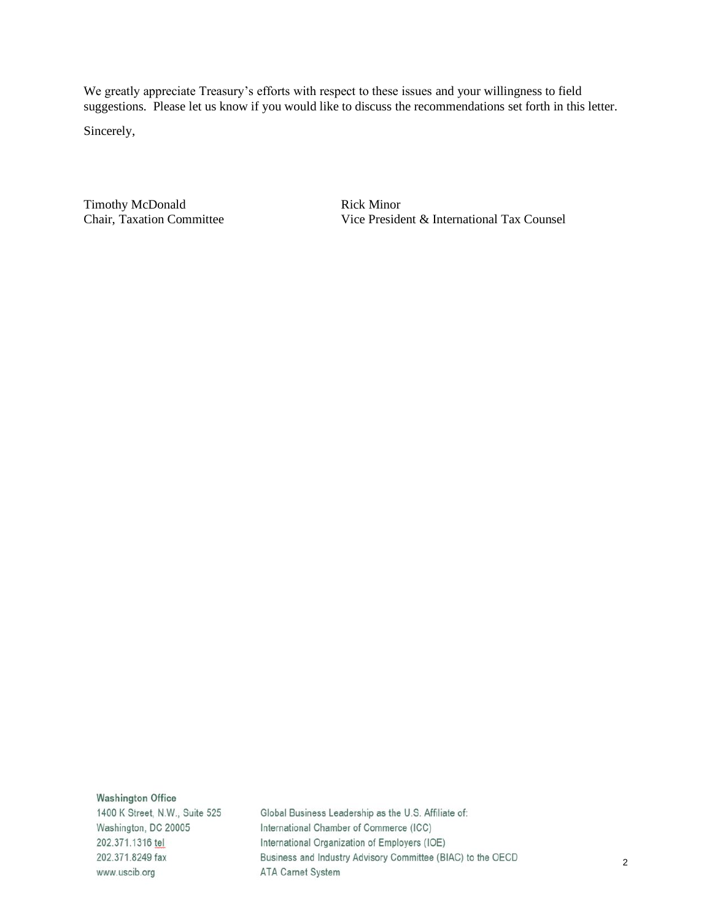We greatly appreciate Treasury's efforts with respect to these issues and your willingness to field suggestions. Please let us know if you would like to discuss the recommendations set forth in this letter.

Sincerely,

Timothy McDonald Chair, Taxation Committee Rick Minor Vice President & International Tax Counsel

**Washington Office** 

1400 K Street, N.W., Suite 525 Washington, DC 20005 202.371.1316 tel 202.371.8249 fax www.uscib.org

Global Business Leadership as the U.S. Affiliate of: International Chamber of Commerce (ICC) International Organization of Employers (IOE) Business and Industry Advisory Committee (BIAC) to the OECD ATA Carnet System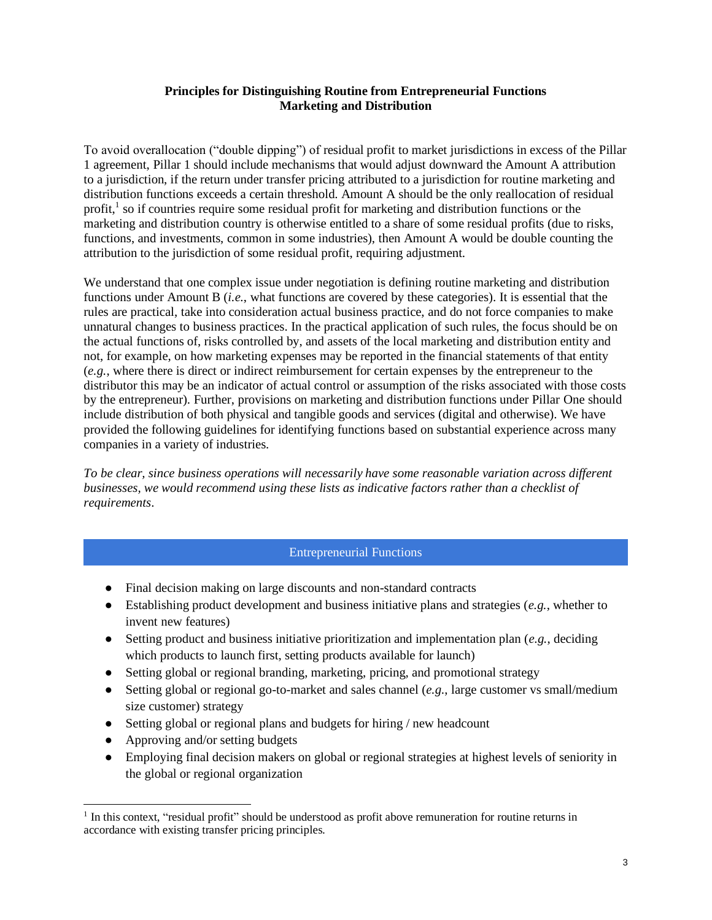## **Principles for Distinguishing Routine from Entrepreneurial Functions Marketing and Distribution**

To avoid overallocation ("double dipping") of residual profit to market jurisdictions in excess of the Pillar 1 agreement, Pillar 1 should include mechanisms that would adjust downward the Amount A attribution to a jurisdiction, if the return under transfer pricing attributed to a jurisdiction for routine marketing and distribution functions exceeds a certain threshold. Amount A should be the only reallocation of residual profit,<sup>1</sup> so if countries require some residual profit for marketing and distribution functions or the marketing and distribution country is otherwise entitled to a share of some residual profits (due to risks, functions, and investments, common in some industries), then Amount A would be double counting the attribution to the jurisdiction of some residual profit, requiring adjustment.

We understand that one complex issue under negotiation is defining routine marketing and distribution functions under Amount B (*i.e.*, what functions are covered by these categories). It is essential that the rules are practical, take into consideration actual business practice, and do not force companies to make unnatural changes to business practices. In the practical application of such rules, the focus should be on the actual functions of, risks controlled by, and assets of the local marketing and distribution entity and not, for example, on how marketing expenses may be reported in the financial statements of that entity (*e.g.*, where there is direct or indirect reimbursement for certain expenses by the entrepreneur to the distributor this may be an indicator of actual control or assumption of the risks associated with those costs by the entrepreneur). Further, provisions on marketing and distribution functions under Pillar One should include distribution of both physical and tangible goods and services (digital and otherwise). We have provided the following guidelines for identifying functions based on substantial experience across many companies in a variety of industries.

*To be clear, since business operations will necessarily have some reasonable variation across different businesses, we would recommend using these lists as indicative factors rather than a checklist of requirements*.

## Entrepreneurial Functions

- Final decision making on large discounts and non-standard contracts
- Establishing product development and business initiative plans and strategies (*e.g.*, whether to invent new features)
- Setting product and business initiative prioritization and implementation plan (*e.g.*, deciding which products to launch first, setting products available for launch)
- Setting global or regional branding, marketing, pricing, and promotional strategy
- Setting global or regional go-to-market and sales channel (*e.g.*, large customer vs small/medium size customer) strategy
- Setting global or regional plans and budgets for hiring / new headcount
- Approving and/or setting budgets
- Employing final decision makers on global or regional strategies at highest levels of seniority in the global or regional organization

<sup>&</sup>lt;sup>1</sup> In this context, "residual profit" should be understood as profit above remuneration for routine returns in accordance with existing transfer pricing principles.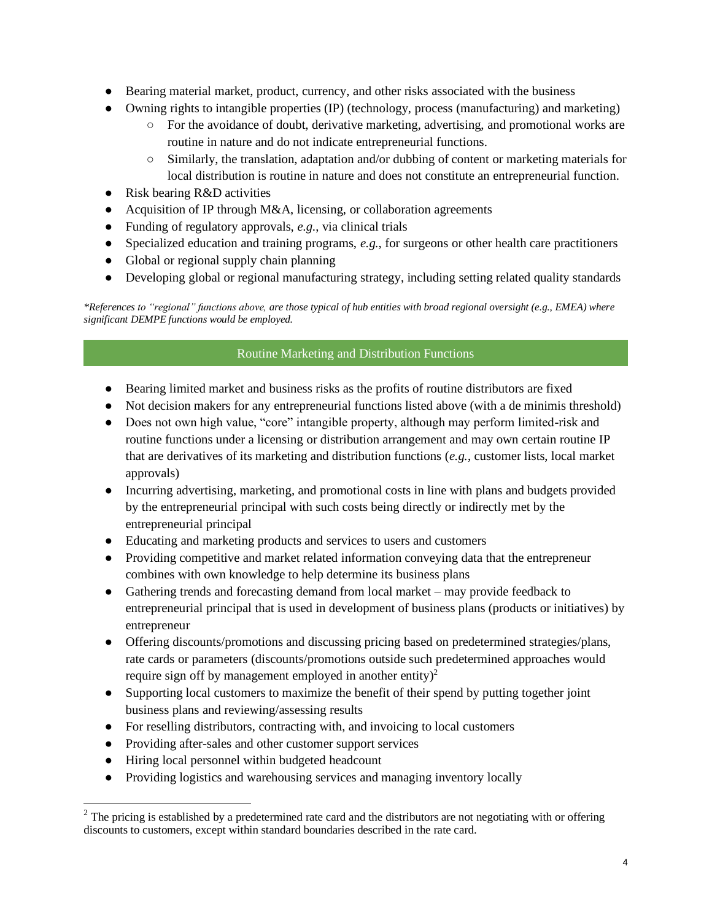- Bearing material market, product, currency, and other risks associated with the business
- Owning rights to intangible properties (IP) (technology, process (manufacturing) and marketing)
	- For the avoidance of doubt, derivative marketing, advertising, and promotional works are routine in nature and do not indicate entrepreneurial functions.
	- Similarly, the translation, adaptation and/or dubbing of content or marketing materials for local distribution is routine in nature and does not constitute an entrepreneurial function.
- Risk bearing R&D activities
- Acquisition of IP through M&A, licensing, or collaboration agreements
- Funding of regulatory approvals, *e.g.*, via clinical trials
- Specialized education and training programs, *e.g.*, for surgeons or other health care practitioners
- Global or regional supply chain planning
- Developing global or regional manufacturing strategy, including setting related quality standards

*\*References to "regional" functions above, are those typical of hub entities with broad regional oversight (e.g., EMEA) where significant DEMPE functions would be employed.* 

## Routine Marketing and Distribution Functions

- Bearing limited market and business risks as the profits of routine distributors are fixed
- Not decision makers for any entrepreneurial functions listed above (with a de minimis threshold)
- Does not own high value, "core" intangible property, although may perform limited-risk and routine functions under a licensing or distribution arrangement and may own certain routine IP that are derivatives of its marketing and distribution functions (*e.g.*, customer lists, local market approvals)
- Incurring advertising, marketing, and promotional costs in line with plans and budgets provided by the entrepreneurial principal with such costs being directly or indirectly met by the entrepreneurial principal
- Educating and marketing products and services to users and customers
- Providing competitive and market related information conveying data that the entrepreneur combines with own knowledge to help determine its business plans
- Gathering trends and forecasting demand from local market may provide feedback to entrepreneurial principal that is used in development of business plans (products or initiatives) by entrepreneur
- Offering discounts/promotions and discussing pricing based on predetermined strategies/plans, rate cards or parameters (discounts/promotions outside such predetermined approaches would require sign off by management employed in another entity)<sup>2</sup>
- Supporting local customers to maximize the benefit of their spend by putting together joint business plans and reviewing/assessing results
- For reselling distributors, contracting with, and invoicing to local customers
- Providing after-sales and other customer support services
- Hiring local personnel within budgeted headcount
- Providing logistics and warehousing services and managing inventory locally

<sup>&</sup>lt;sup>2</sup> The pricing is established by a predetermined rate card and the distributors are not negotiating with or offering discounts to customers, except within standard boundaries described in the rate card.